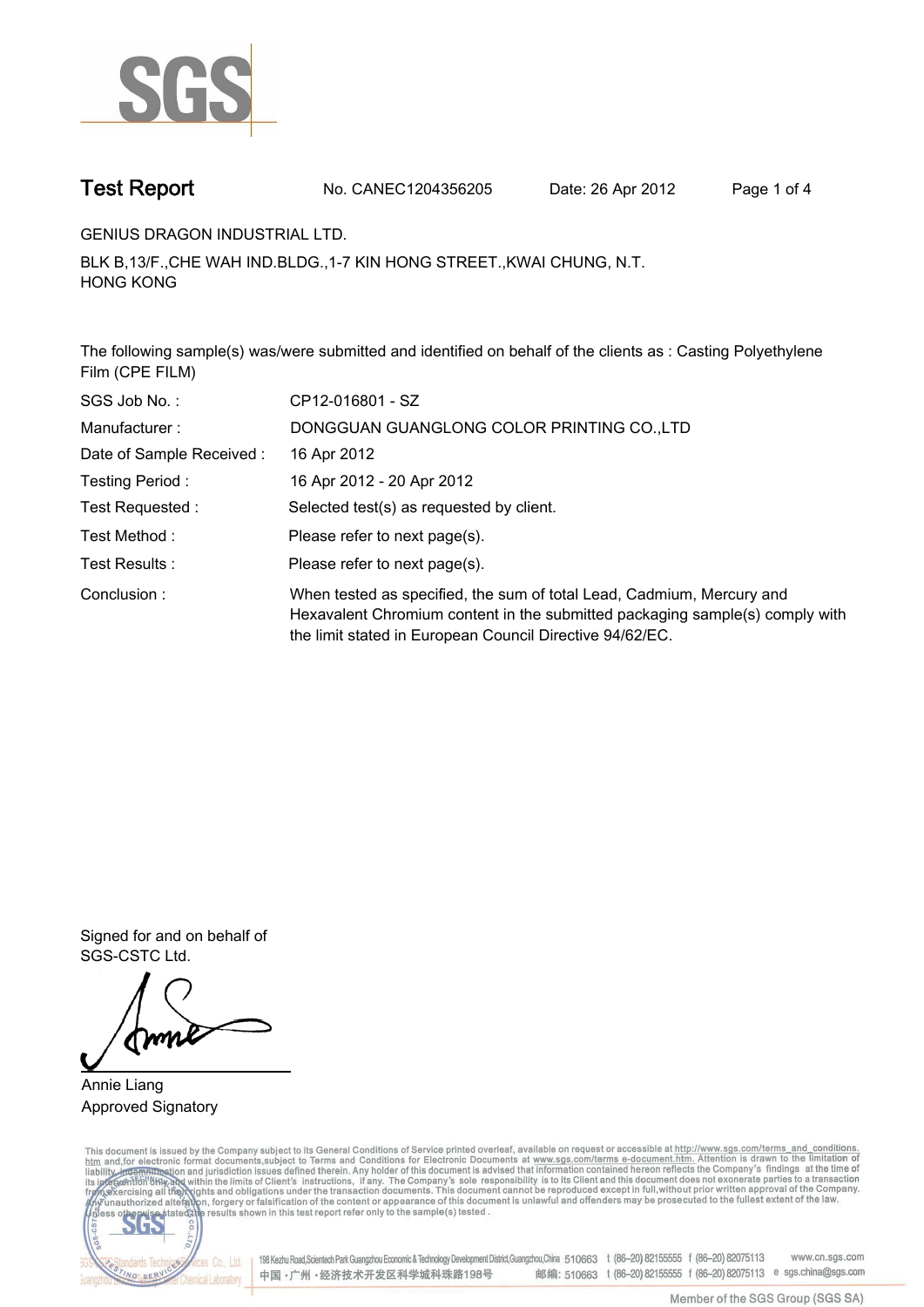

**Test Report. No. CANEC1204356205 Date: 26 Apr 2012. Page 1 of 4.**

**GENIUS DRAGON INDUSTRIAL LTD..**

**BLK B,13/F.,CHE WAH IND.BLDG.,1-7 KIN HONG STREET.,KWAI CHUNG, N.T. HONG KONG.**

**The following sample(s) was/were submitted and identified on behalf of the clients as : Casting Polyethylene Film (CPE FILM).**

| SGS Job No.:             | CP12-016801 - SZ                                                                                                                                                                                                  |  |  |  |  |
|--------------------------|-------------------------------------------------------------------------------------------------------------------------------------------------------------------------------------------------------------------|--|--|--|--|
| Manufacturer:            | DONGGUAN GUANGLONG COLOR PRINTING CO., LTD                                                                                                                                                                        |  |  |  |  |
| Date of Sample Received: | 16 Apr 2012                                                                                                                                                                                                       |  |  |  |  |
| Testing Period:          | 16 Apr 2012 - 20 Apr 2012                                                                                                                                                                                         |  |  |  |  |
| Test Requested :         | Selected test(s) as requested by client.                                                                                                                                                                          |  |  |  |  |
| Test Method:             | Please refer to next page(s).                                                                                                                                                                                     |  |  |  |  |
| Test Results:            | Please refer to next page(s).                                                                                                                                                                                     |  |  |  |  |
| Conclusion:              | When tested as specified, the sum of total Lead, Cadmium, Mercury and<br>Hexavalent Chromium content in the submitted packaging sample(s) comply with<br>the limit stated in European Council Directive 94/62/EC. |  |  |  |  |

**Signed for and on behalf of SGS-CSTC Ltd..**

**Annie Liang. Approved Signatory.**

This document is issued by the Company subject to its General Conditions of Service printed overleaf, available on request or accessible at http://www.sgs.com/terms\_and\_conditions.<br>htm\_and, for electronic format documents,



198 Kezhu Road,Scientech Park Guangzhou Economic & Technology Development District,Guangzhou,China 510663 t (86-20) 82155555 f (86-20) 82075113 www.cn.sgs.com 邮编: 510663 t (86-20) 82155555 f (86-20) 82075113 e sgs.china@sgs.com 中国·广州·经济技术开发区科学城科珠路198号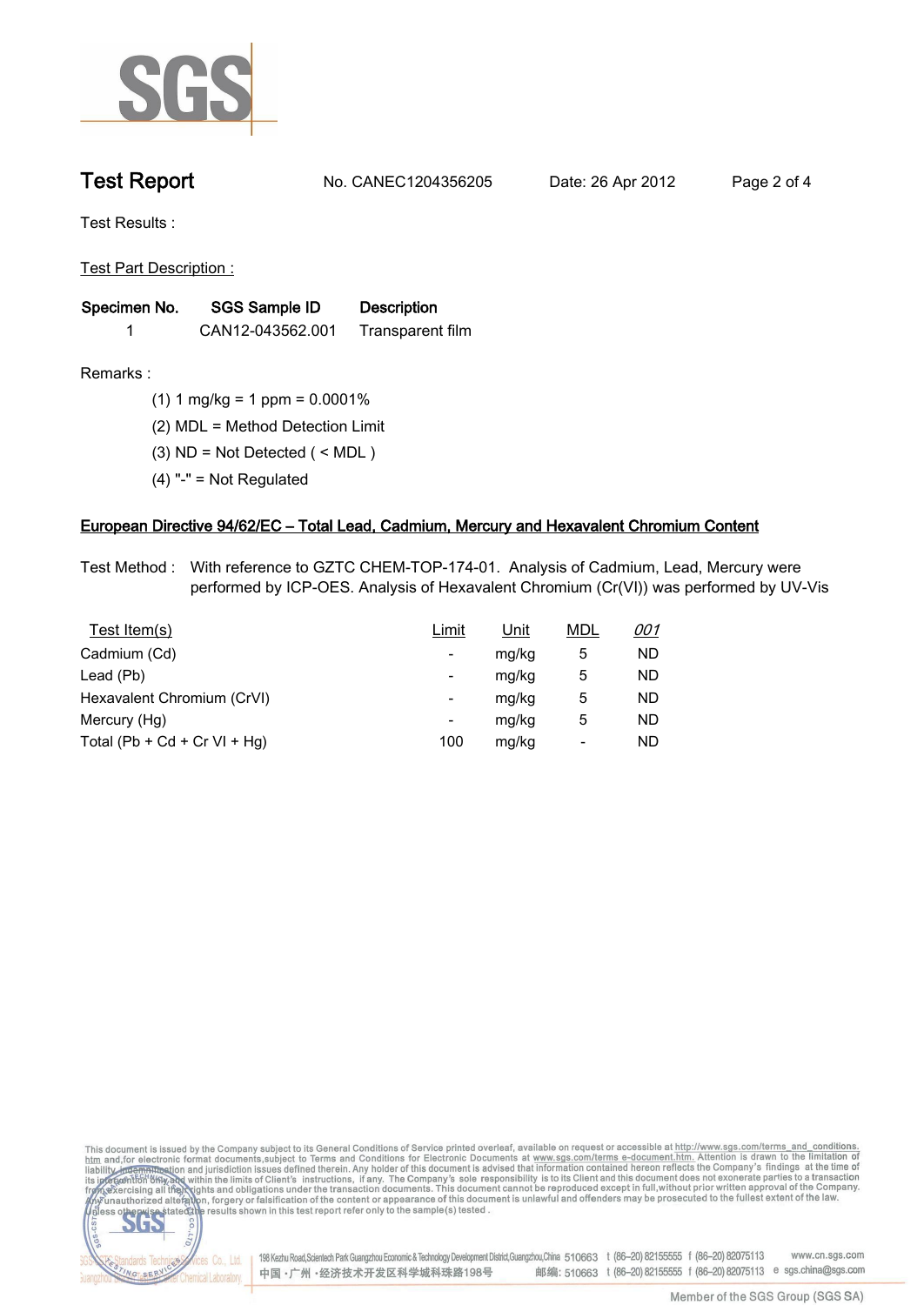

**Test Report. No. CANEC1204356205 Date: 26 Apr 2012. Page 2 of 4.**

**Test Results :.**

**Test Part Description :.**

| Specimen No. | SGS Sample ID    | <b>Description</b> |  |
|--------------|------------------|--------------------|--|
|              | CAN12-043562.001 | Transparent film   |  |

dards Teo

NG SERY

Chemical Laboratory.

**Remarks :.(1) 1 mg/kg = 1 ppm = 0.0001%.**

**(2) MDL = Method Detection Limit.**

- **(3) ND = Not Detected ( < MDL ).**
- **(4) "-" = Not Regulated.**

## **European Directive 94/62/EC – Total Lead, Cadmium, Mercury and Hexavalent Chromium Content.**

**Test Method :. With reference to GZTC CHEM-TOP-174-01. Analysis of Cadmium, Lead, Mercury were performed by ICP-OES. Analysis of Hexavalent Chromium (Cr(VI)) was performed by UV-Vis.**

| Test Item(s)                 | Limit | <u>Unit</u> | <b>MDL</b> | <u>001</u> |
|------------------------------|-------|-------------|------------|------------|
| Cadmium (Cd)                 | -     | mg/kg       | 5          | ND         |
| Lead (Pb)                    | -     | mg/kg       | 5          | ND         |
| Hexavalent Chromium (CrVI)   | -     | mg/kg       | 5          | ND         |
| Mercury (Hg)                 | -     | mg/kg       | 5          | ND         |
| Total (Pb + Cd + Cr VI + Hg) | 100   | mg/kg       | -          | ND         |

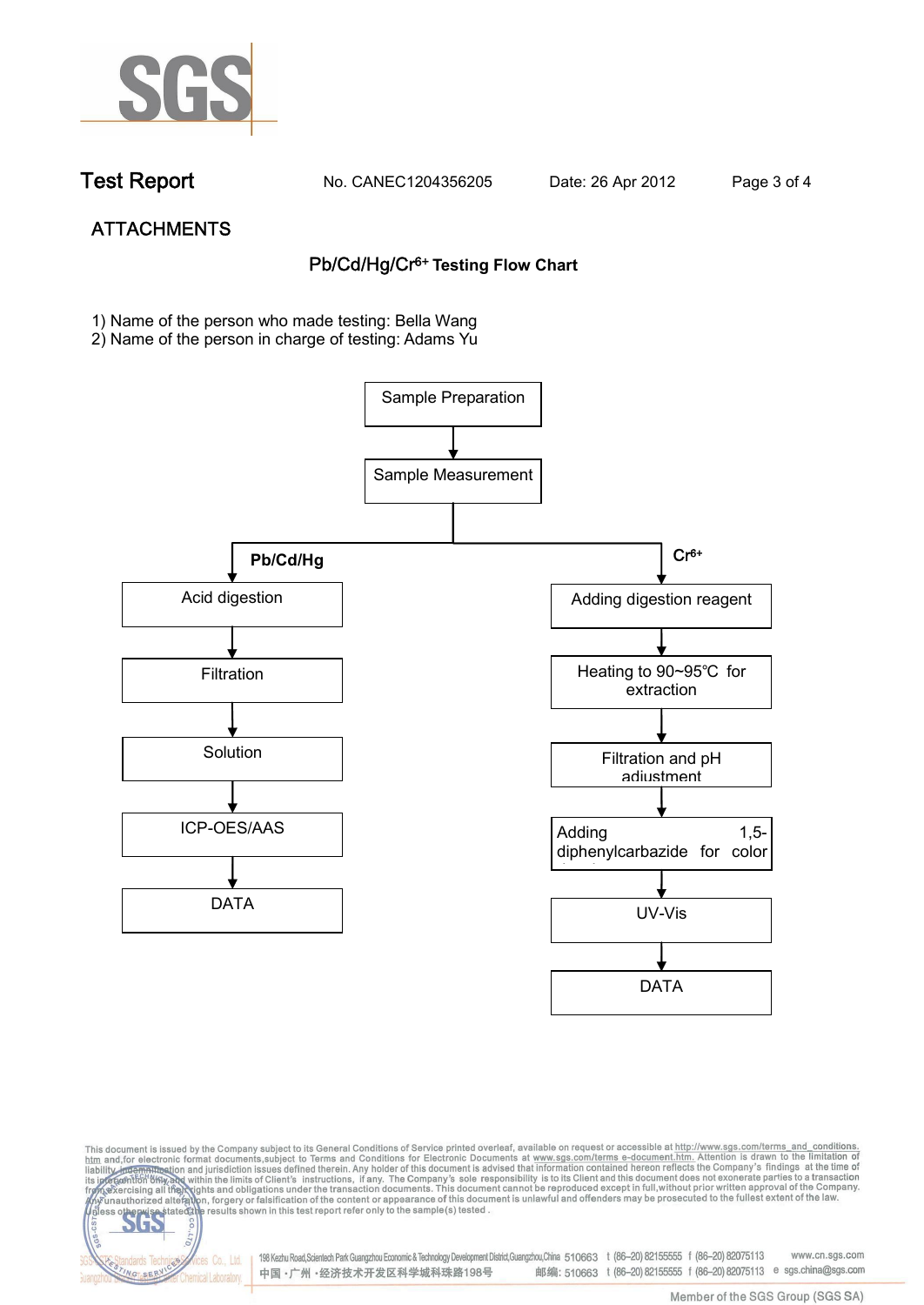

dards Ter

NG SER

**Chemical Laboratory** 

**Test Report. No. CANEC1204356205 Date: 26 Apr 2012. Page 3 of 4.**

# **ATTACHMENTS Pb/Cd/Hg/Cr6+ Testing Flow Chart**

**1)** Name of the person who made testing: Bella Wang

2) Name of the person in charge of testing: Adams Yu





198 Kezhu Road,Scientech Park Guangzhou Economic & Technology Development District,Guangzhou,China 510663 t (86-20) 82155555 f (86-20) 82075113 www.cn.sgs.com vices Co., Ltd. 邮编: 510663 t (86-20) 82155555 f (86-20) 82075113 e sgs.china@sgs.com 中国·广州·经济技术开发区科学城科珠路198号